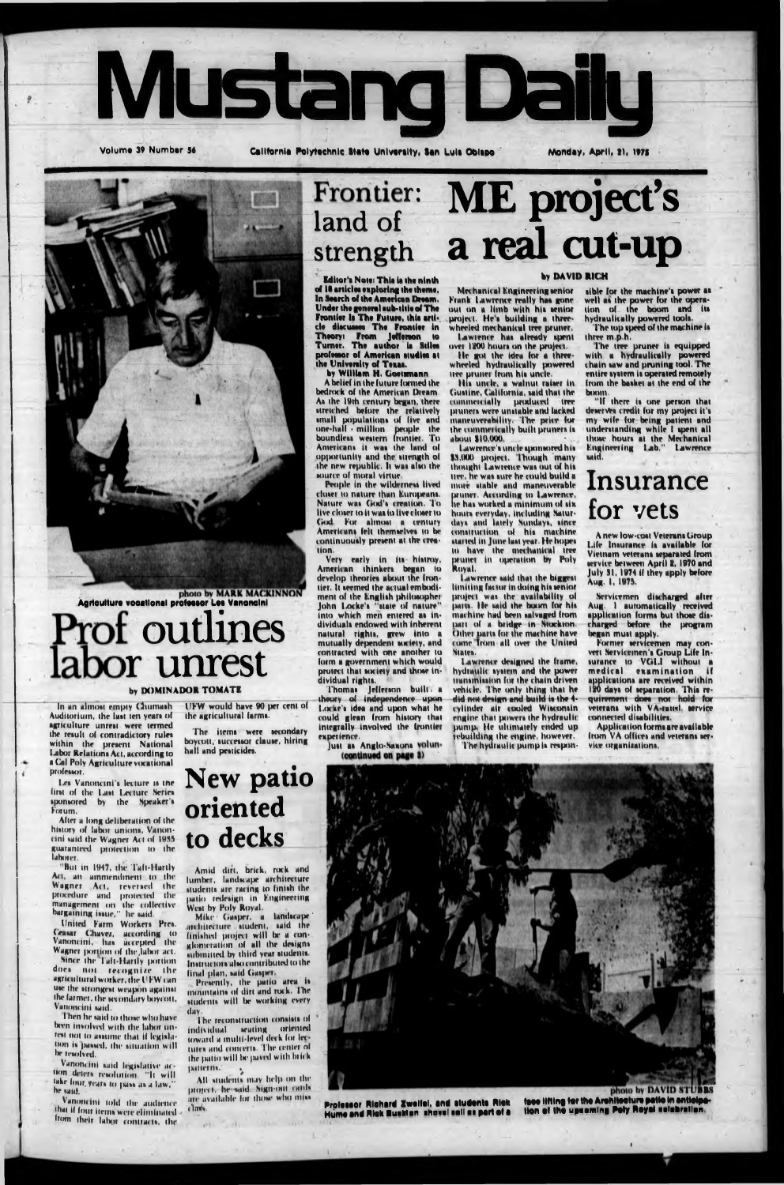

Volume 39 Number 56

California Polytechnic State University, San Luis Oblapo

Monday, April, 21, 1975



**Agriculture vocational professor Les Vanoncini** 

# Prof outlines labor unrest

#### by DOMINADOR TOMATE

In an almost empty Chumash Auditorium, the last ten years of agriculture unrest were termed the result of contradictory rules within the present National Labor Relations Act, according to a Cal Poly Agriculture vocational **professor** 

first of the Last Lecture Series sponsored by the Speaker's Forum.

UFW would have 90 per cent of the agricultural farms.

The items were secondary boycott, successor clause, hiring hall and peaticides.

Les Vanoncini's lecture is the New patio oriented

### ME project's **Frontier:** land of a real cut-up strength

over 1200 hours on the project.

He got the idea for a three-<br>wheeled hydraulically powered tree pruner from his uncle.

His unde, a walnut raiser in

Gustine, California, said that the

commercially produced tree

pruners were unstable and lacked

maneuverability. The price for<br>the commerically built pruners is

Lawrence's uncle sponsored his \$3,000 project. Though many

thought Lawrence was out of his

tiee, he was sure he could build a

more stable and maneuverable

pruner. According to Lawrence,

he has worked a minimum of six

hours everyday, including Satur-

days and lately Sundays, since<br>construction of his machine

started in June last year. He hopes

to have the mechanical tree<br>pruner in operation by Poly

Lawrence said that the biggest

limiting factor in doing his senior

project was the availability of

parts. He said the boom for his

machine had been salvaged from

part of a bridge in Stockton. Other parts for the machine have

come from all over the United

Lawrence designed the frame,

hydraulic system and the power

transmission for the chain driven

vehicle. The only thing that he

did not design and build is the 4-

cylinder air cooled Wisconsin engine that powers the hydraulic

pump, He ultimately ended up

rebuilding the engine, however.

The hydraulic pump is respon-

about \$10,000.

Royal.

States.

Editor's Note: This is the ninth of 18 articles exploring the theme.<br>In Search of the American Dream. Under the general sub-title of The Frontier Is The Future, this article discusses The Francier in Theory: Fram Jefferson to Turner. The author is Stiles professor of American studies at<br>the University of Texas.<br>by William H. Goetsmann

A belief in the future formed the bedrock of the American Dream. As the 19th century began, there stretched before the relatively<br>small populations of five and<br>one-half - million people the<br>boundless western frontier. To Americans it was the land of opportunity and the strength of the new republic. It was also the source of moral virtue.

People in the wilderness lived closer to nature than Europeans. Nature was God's creation. To live closer to it was to live closer to God. For almost a century Americans felt themselves to be continuously present at the creation.

Very early in its histroy, American thinkers began to develop theories about the frontier. It seemed the actual embodiment of the English philosopher John Locke's "state of nature" into which men entered as in-<br>dividuals endowed with inherent natural rights, grew into a mutually dependent society, and contracted with one another to form a government which would protect that society and those individual rights.

Thomas Jefferson built a Locke's idea and upon what he could glean from history that integrally involved the frontier experience.

Just as Anglo-Saxons volun-(continued on page 3)

#### **by DAVID RICH**

Mechanical Engineering senior sible for the machine's power as well as the power for the opera-<br>tion of the boom and its Frank Lawrence really has gone out on a limb with his senior hydraulically powered tools.<br>The top speed of the machine is project. He's building a threewheeled mechanical tree pruner.<br>Lawrence has already spent

three m.p.h.

The tree pruner is equipped<br>with a hydraulically powered<br>chain saw and pruning tool. The entire system is operated remotely from the basket at the end of the boom.

"If there is one person that deserves credit for my project it's my wife for being patient and<br>understanding while I spent all those hours at the Mechanical<br>Engineering Lab." Lawrence mid.

## Insurance for yets

A new low-cost Veterans Group Life Insurance is available for Vietnam veterans separated from service between April 2, 1970 and<br>July 31, 1974 if they apply before Aug. 1, 1975.

Servicemen discharged after Aug. 1 automatically received application forms but those discharged before the program began must apply.

Former servicemen may convert Servicemen's Group Life Insurance to VGLI without a medical examination if applications are received within 120 days of separation. This requirement does not hold for connected disabilities.

Application forms are available from VA offices and veterans service organizations.

After a long deliberation of the history of labor unions, Vanoncini said the Wagner Act of 1955. guaranteed protection to the laborer.

"But in 1947, the Taft-Hartly Act, an ainmendment to the Wagner Act, reversed the procedure and protected the management on the collective<br>bargaining issue," he said.

United Farm Workers Pres. Ceasar Chavez, according to<br>Vanoncini, has accepted the Wagner portion of the labor act.

Since the Taft-Hartly portion. does not recognize the agricultural worker, the UFW can use the strongest weapon against the farmer, the secondary boycott, Vanoncini said.

Then he said to those who have been involved with the labor unrest not to assume that if legislation is passed, the situation will be resolved.

Vanoncini said legislative action deters resolution. "It will take four, years to pass as a law." he said.

Vanoncini told the audience that if four items were eliminated = from their labor contracts, the

## to decks

Amid dirt, brick, rock and lumber, landscape architecture students are racing to finish the<br>patio redesign in Engineering West by Poly Royal.

Mike Gasper, a landscape architecture student, said the finished project will be a conglomeration of all the designs submitted by third year students. Instructors also contributed to the final plan, said Gasper.

Presently, the patio area is mountains of dirt and rock. The students will be working every day.

The reconstruction consists of individual scating oriented<br>toward a multi-level deck for lectures and concerts. The center of the patio will be paved with brick patterns."  $\frac{\hbar}{R}$ 

All students may help on the project. he said. Sign-out cards are available for those who miss

**USA CONTR** 

class.

 $111.$ 

**Collin** 

Professor Richard Zweifel, and students Rick Hume and Rick Busklon shovel sell as part of a

photo by DAVID STURE tess lifting for the Architecture patio in anticipa<br>tion of the upsaming Poly Royal salabration.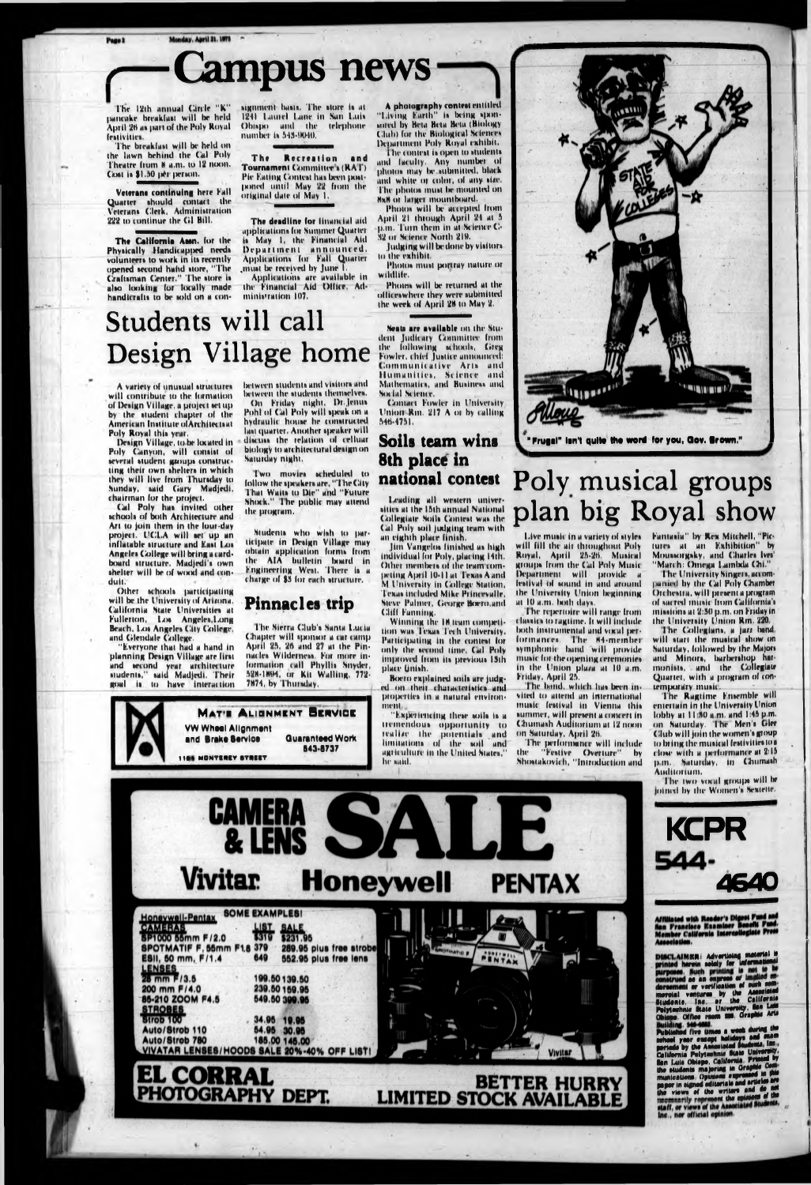# **Lampus news**

The 12th annual Circle "K" pancake breakfast will be held April 26 as part of the Poly Royal feativities.

The breakfast will be held on the lawn behind the Cal Poly Theatre from 8 a.m. to 12 noon. Cost is \$1.50 per person.

Veterans continuing here Fall Quarter should contact the<br>Veterans Clerk, Administration 222 to continue the Gl Bill.

The California Assn. for the Physically Handicapped needs volunteers to work in its recently opened second hand store, "The Craftsman Center." The store is also looking for locally made handicrafts to be sold on a con-

signment basis. The store is at 1241 Laurel Lane in San Luis Obispo and the telephone number is 543-9040.

The Recreation and Tournament Committee's (RAT) Pie Eating Contest has been postponed until May 22 from the original date of May 1.

The deadline for financial aid applications for Summer Quarter is May 1, the Financial Aid Department announced. Applications for Fall Quarter must be received by June

Applications are available in the Financial Aid Office. Administration 107.

A photography contest entitled<br>"Living Earth" is being spon-<br>sored by Beta Beta Beta (Biology Club) for the Biological Sciences Department Poly Royal exhibit. The contest is open to students

and faculty. Any number of<br>photos may be submitted, black and white or color, of any size. The photos must be mounted on axa or larger mountboard.

Photos will be accepted from April 21 through April 24 at 5 p.m. Turn them in at Science C-32 of Science North 219.

Judging will be done by visitors. to the exhibit.

Photos must politray nature or wildlife.

Photos will be returned at the officeswhere they were submitted the week of April 28 to May 2.

Seats are available on the Student Judicary Committee from

Communicative Arts and Humanities, Science and

Students will call the following schools, Greg<br>Fowler, chief Justice announced: Design Village home

A variety of unusual structures. will contribute to the formation. of Design Village, a project set upby the student chapter of the American Institute ofArchitectsat Poly Royal this year.

Design Village, to be located in Poly Canyon, will consist of several student groups constructing their own shelters in which they will live from Thursday to Sunday, said Gary Madjedi, chairman for the project.

Cal Poly has invited other schools of both Architecture and Art to join them in the lour-day project. UCLA will set up an inflatable structure and East Los Angeles College will bring a cardboard structure. Madjedi's own shelter will be of wood and conduit.

Other schools participating will be the University of Arizona. California State Universities at Fullerton, Los Angeles, Long Beach, Los Angeles City College, and Glendale College.

'Everyone that had a hand in planning Design Village are first and second year architecture<br>students," said Madjedi. Their goal is to have interaction between students and visitors and between the students themselves. On Friday night, Dr. Jenus Pohl of Cal Poly will speak on a hydraulic house he constructed last quarter. Another speaker will discuss the relation of celluar biology to architectural design on Saturday night.

Two movies scheduled to follow the speakers are, "The City That Waits to Die" and "Future Shock." The public may attend the program.

Students who wish to participate in Design Village may obtain application forms from the AIA bulletin board in Engineering West. There is a charge of \$3 for each structure.

### **Pinnacles trip**

The Sierra Club's Santa Lucia Chapter will sponsor a car camp April 25, 26 and 27 at the Pinnacles Wilderness. For more information call Phyllis Snyder, 528-1894, or Kit Walling, 772-7874, by Thursday.

#### Mathematics, and Business and Social Science. Contact Fowler in University Union Rm. 217 A or by calling 546-4751. Soils team wins 8th place in

Leading all western universities at the 15th annual National Collegiate Soils Contest was the Cal Poly soil judging team with an eighth place finish.

national contest

Jim Vangelos finished as high individual for Poly, placing 14th. Other members of the team competing April 10-11 at Texas A and **M** University in College Station, Texas included Mike Princevalle, Steve Palmer, George Boero, and **Cliff Fanning.** 

Winning the 18 team competition was Texas Tech University. Participating in the contest for only the second time, Cal Poly improved from its previous 13th place Unish.

Boero explained soils are judged on their characteristics and properties in a natural environment.

'Experiencing these soils is a tremendous opportunity to realize the potentials and limitations of the soil and agriculture in the United States," he said.



## Poly musical groups plan big Royal show

Live music in a variety of styles will fill the air throughout Poly Royal, April 25-26. Musical groups from the Cal Poly Music Department will provide a festival of sound in and around the University Union beginning at 10 a.m. both days.

The repertoire will range from classics to ragtime. It will include both instrumental and vocal performances. The 84-member<br>symphonic band will provide music for the opening ceremonies: in the Union plaza at 10 a.m. Friday, April 25.

The band, which has been invited to attend an international music festival in Vienna this summer, will present a concert in **Chumash Auditorium at 12 noon** on Saturday, April 26.

The performance will include "Festive Overture" the hy Shostakovich, "Introduction and Fantasia" by Rex Mitchell, "Pic-<br>tures at an Exhibition" by MOUSSOIRSky, and Charles Ives' "March: Omega Lambda Chi."

The University Singers, accompanied by the Cal Poly Chamber Orchestra, will present a program of sacred music from California's missions at 2:30 p.m. on Friday in the University Union Rm. 220.

The Collegians, a juzz band. will start the musical show on Saturday, followed by the Majors and Minors, barbershop harmonists, and the Collegiate Quartet, with a program of contemporary music.

The Ragtime Ememble will entertain in the University Union lobby at 11:50 a.m. and 1:45 p.m. on Saturday. The Men's Glee Club will join the women's group to bring the musical festivities to a close with a performance at 2:15 p.m. Saturday, in Chumash Auditorium.

The two vocal groups will be joined by the Women's Sextette.



Page 2



**KCPR** 544-**4640** 

Affiliated with Reader's Digest Fund and<br>San Francisco Examiner Benefit Fund.<br>Member California Intercollegiate Press<br>Association.

Association.<br>
DISCLAIMER: Advertising material is<br>
printed herein solely for informational<br>
purposes. Such printing is not to<br>
construct as an express or time confidence<br>
dorsament evertisation of such some<br>
dorsament vert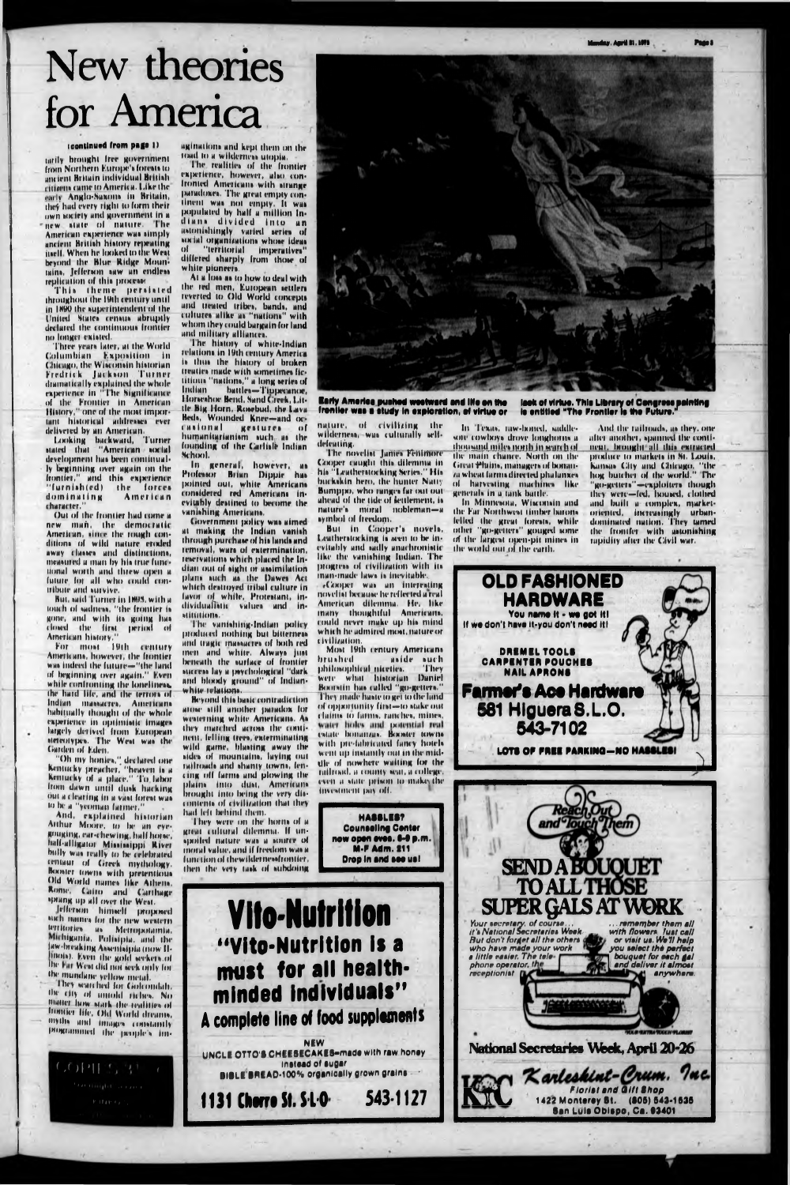y, Anril II, 1971

# New theories for America

#### (continued from page 1)

tarily brought free government from Northern Europe's forests to ancient Britain individual British ritizens came to America. Like the early Anglo-Saxons in Britain, they had every right to form their own society and government in a new state of nature. The American experience was simply ancient British history repeating juelf. When he looked to the West beyond the Blue Ridge Mountains, Jefferson saw an endless replication of this processe

This theme persisted<br>throughout the 19th century until in 1890 the superintendent of the United States census abruptly declared the continuous frontier no longer existed.

Three years later, at the World Columbian Exposition in<br>Chicago, the Wisconsin historian Fredrick Jackson Turner diamatically explained the whole<br>experience in "The Significance of the Frontier in American History," one of the most important historical addresses ever delivered by an American.

Looking backward, Turner stated that "American social development has been continually beginning over again on the frontier," and this experience 'furnish(ed) the forces dominating American character.'

Out of the frontier had come a new man, the democratic American, since the rough conditions of wild nature croded away classes and distinctions, measured a man by his true functional worth and threw open a future for all who could contribute and survive.

But, said Turner in 1895, with a touch of sadness, "the frontier is gone, and with its going has closed the first period of American history.

For most 19th century Americans, however, the frontier was indeed the future-"the land of beginning over again." Evenwhile confronting the loneliness. the hard life, and the terrors of Indian massacres, Americans habitually thought of the whole experience in optimistic images largely derived from European steteotypes. The West was the Garden of Eden.

"Oh my honies," declared one<br>Kentucky preacher, "heaven is a Kentucky of a place." To labor from dawn until dusk hacking out a clearing in a vast forest was to be a "yeoman farmer."

And, explained historian Atthur Moore, to be an evegouging, car-chewing, half horse, half-alligator Mississippi River bully was really to be celebrated rentaur of Greek mythology. Booster towns with pretentious Old World names like Athens. Rome, Cairo and Carthage sprang up all over the West. Jefferson himself proposed such names for the new western territories as Metropotamia.<br>Michigania, Polisipia, and the law-breaking Assemisipia (now IIlinois). Even the gold seekers of the Far West did not seek only for. the mundane yellow metal. They wan hed for Golcondah. the city of untold riches. No matter how stark the realities of frontier life. Old World dreams, myths and images constantly programmed the people's im-

aginations and kept them on the road to a wilderness utopia.

The realities of the frontier experience, however, also confronted Americans with strange paradoxes. The great empty continent was not empty. It was diana divided into an astonishingly varied series of social organizations whose ideas of "territorial imperatives" differed sharply from those of white pioneers.

At a loss as to how to deal with the red men, European settlers reverted to Old World concepts and treated tribes, bands, and<br>cultures alike as "nations" with whom they could bargain for land and military alliances.

The history of white-Indian relations in 19th century America is thus the history of broken treaties made with sometimes fictitious "nations," a long series of Indian battles-Tippecanoe, Horseshoe Bend, Sand Creek, Little Big Horn, Rosebud, the Lava-Beds, Wounded Knee-and oc-**Casional** gestures of humanitarianism such as the founding of the Carlisle Indian School.

In general, however, as Professor Brian Dippie has pointed out, white Americans evitably destined to become the vanishing Americans.

Government policy was aimed at making the Indian vanish through purchase of his lands and removal, wars of extermination, reservations which placed the Indian out of sight or assimilation plans such as the Dawes Act which destroyed tribal culture in lavor of white, Protestant, individualistic values and institutions.

The vanishing-Indian policy produced nothing but bitterness and tragic massacres of both red men and white. Always just beneath the surface of frontier success lay a psychological "dark and bloody ground" of Indianwhite relations.

Beyond this basic contradiction arose still another paradox for westerning white Americans. As they marched across the continent, felling trees, exterminating wild game, blasting away the sides of mountains, laying out railroads and shanty towns, fencing off farms and plowing the plains into dust, Americans brought into being the very discontents of civilization that they had left behind them.

They were on the horns of a



#### Early America pushed westward and ille on the lack of virtue. This Library of Congress painting freniler was a study in exploration, of virtue or is entitled "The Frontier is the Future."

nature, of civilizing the wilderness, was culturally selfdefeating.

The novelist Janies Feitimore Cooper caught this dilemma in his "Leatherstocking Series." His buckskin hero, the hunter Natty Bumppo, who ranges far out out ahead of the tide of settlement, is nature's moral nobleman-a symbol of freedom.

But in Cooper's novels, Leatherstocking is seen to be inevitably and sadly anachronistic like the vanishing Indian. The progress of civilization with its man-made laws is inevitable.

«Cooper was an interesting novelist because he reflected a real American dilemma. He, like many thoughtful Americans. could never make up his mind which he admired most, nature or civilization.

Most 19th century Americans brushed. aside such philosophical niceties. - They were what historian Daniel Boorstin has called "go-getters." They made haste to get to the land of opportunity first-to stake out claims to farms, ranches, mines, water holes and potential real catate bomanzua. Booster towns with pre-fabricated fancy hotels went up instantly out in the midthe of nowhere waiting for the national, a county seat, a college. even a state prison to make the investment pay off.



In Minnesota, Wisconsin and the Far Northwest timber barons felled the great forests, while other "go-getters" gouged some of the largest open-pit mines in the world out of the earth.

And the railroads, as they, one after another, spanned the contineat. brought all this extracted produce to markets in St. Louis. Kansas City and Chicago, "the hog butcher of the world." The "go-getters"-exploiters though they were-fed, housed, clothed and built a complex, marketoriented, increasingly urbandominated nation. They tamed the frontfer with astonishing rapidity after the Civil war.



great cultural dilemma. If unspoiled nature was a source of moral value, and if freedom was a function of thewildernessfrontier, then the very task of subdoing

**Counseling Center** now open eves. 6-9 p.m. **M-F Adm. 211** Drop in and see us!

543-1127

**HABBLES?** 

**Vito-Nutrition** "Vito-Nutrition is a must for all healthminded individuals" A complete line of food supplements

**NEW** UNCLE OTTO'S CHEESECAKES-made with raw honey instead of sugar BIBLE BREAD-100% organically grown grains

1131 Cherre St. S.L.O.